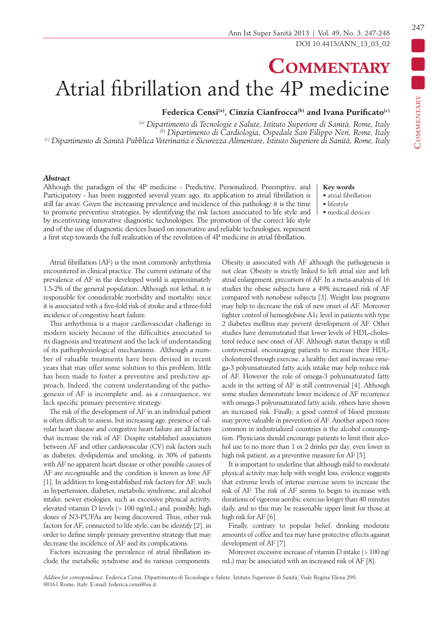## **Commentary** Atrial fibrillation and the 4P medicine

Federica Censi<sup>(a)</sup>, Cinzia Cianfrocca<sup>(b)</sup> and Ivana Purificato<sup>(c)</sup>

*(a) Dipartimento di Tecnologie e Salute, Istituto Superiore di Sanità, Rome, Italy (b) Dipartimento di Cardiologia, Ospedale San Filippo Neri, Rome, Italy (c) Dipartimento di Sanità Pubblica Veterinaria e Sicurezza Alimentare, Istituto Superiore di Sanità, Rome, Italy*

## *Abstract*

Although the paradigm of the 4P medicine - Predictive, Personalized, Preemptive, and Participatory - has been suggested several years ago, its application to atrial fibrillation is still far away. Given the increasing prevalence and incidence of this pathology it is the time to promote preventive strategies, by identifying the risk factors associated to life style and by incentivizing innovative diagnostic technologies. The promotion of the correct life style and of the use of diagnostic devices based on innovative and reliable technologies, represent a first step towards the full realization of the revolution of 4P medicine in atrial fibrillation.

## **Key words**

- atrial fibrillation
- lifestyle
- medical devices

Atrial fibrillation (AF) is the most commonly arrhythmia encountered in clinical practice. The current estimate of the prevalence of AF in the developed world is approximately 1.5-2% of the general population. Although not lethal, it is responsible for considerable morbidity and mortality, since it is associated with a five-fold risk of stroke and a three-fold incidence of congestive heart failure.

This arrhythmia is a major cardiovascular challenge in modern society because of the difficulties associated to its diagnosis and treatment and the lack of understanding of its pathophysiological mechanisms. Although a number of valuable treatments have been devised in recent years that may offer some solution to this problem, little has been made to foster a preventive and predictive approach. Indeed, the current understanding of the pathogenesis of AF is incomplete and, as a consequence, we lack specific primary preventive strategy.

The risk of the development of AF in an individual patient is often difficult to assess, but increasing age, presence of valvular heart disease and congestive heart failure are all factors that increase the risk of AF. Despite established association between AF and other cardiovascular (CV) risk factors such as diabetes, dyslipidemia and smoking, in 30% of patients with AF no apparent heart disease or other possible causes of AF are recognisable and the condition is known as lone AF [1]. In addition to long-established risk factors for AF, such as hypertension, diabetes, metabolic syndrome, and alcohol intake, newer etiologies, such as excessive physical activity, elevated vitamin D levels (> 100 ng/mL) and, possibly, high doses of N3-PUFAs are being discovered. Thus, other risk factors for AF, connected to life style, can be identify [2], in order to define simply primary preventive strategy that may decrease the incidence of AF and its complications.

Factors increasing the prevalence of atrial fibrillation include the metabolic syndrome and its various components. Obesity is associated with AF although the pathogenesis is not clear. Obesity is strictly linked to left atrial size and left atrial enlargement, precursors of AF. In a meta-analysis of 16 studies the obese subjects have a 49% increased risk of AF compared with nonobese subjects [3]. Weight loss programs may help to decrease the risk of new onset of AF. Moreover tighter control of hemoglobine A1c level in patients with type 2 diabetes mellitus may prevent development of AF. Other studies have demonstrated that lower levels of HDL-cholesterol reduce new onset of AF. Although statin therapy is still controversial, encouraging patients to increase their HDLcholesterol through exercise, a healthy diet and increase omega-3 polyunsaturated fatty acids intake may help reduce risk of AF. However the role of omega-3 polyunsaturated fatty acids in the setting of AF is still controversial [4]. Although some studies demonstrate lower incidence of AF recurrence with omega-3 polyunsaturated fatty acids, others have shown an increased risk. Finally, a good control of blood pressure may prove valuable in prevention of AF. Another aspect more common in industrialized countries is the alcohol consumption. Physicians should encourage patients to limit their alcohol use to no more than 1 or 2 drinks per day, even lower in high risk patient, as a preventive measure for AF [5].

It is important to underline that although mild to moderate physical activity may help with weight loss, evidence suggests that extreme levels of intense exercise seem to increase the risk of AF. The risk of AF seems to begin to increase with durations of vigorous aerobic exercise longer than 40 minutes daily, and so this may be reasonable upper limit for those at high risk for AF [6].

Finally, contrary to popular belief, drinking moderate amounts of coffee and tea may have protective effects against development of AF [7].

Moreover excessive increase of vitamin D intake (> 100 ng/ mL) may be associated with an increased risk of AF [8].